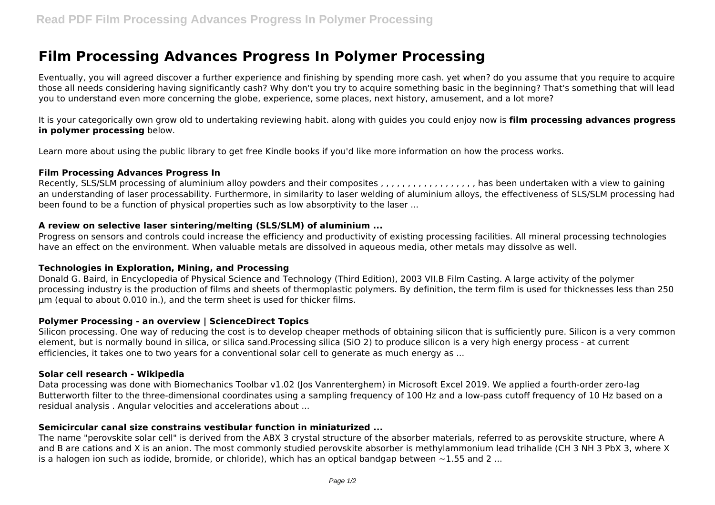# **Film Processing Advances Progress In Polymer Processing**

Eventually, you will agreed discover a further experience and finishing by spending more cash. yet when? do you assume that you require to acquire those all needs considering having significantly cash? Why don't you try to acquire something basic in the beginning? That's something that will lead you to understand even more concerning the globe, experience, some places, next history, amusement, and a lot more?

It is your categorically own grow old to undertaking reviewing habit. along with guides you could enjoy now is **film processing advances progress in polymer processing** below.

Learn more about using the public library to get free Kindle books if you'd like more information on how the process works.

#### **Film Processing Advances Progress In**

Recently, SLS/SLM processing of aluminium alloy powders and their composites , , , , , , , , , , , , , , , , , , has been undertaken with a view to gaining an understanding of laser processability. Furthermore, in similarity to laser welding of aluminium alloys, the effectiveness of SLS/SLM processing had been found to be a function of physical properties such as low absorptivity to the laser ...

## **A review on selective laser sintering/melting (SLS/SLM) of aluminium ...**

Progress on sensors and controls could increase the efficiency and productivity of existing processing facilities. All mineral processing technologies have an effect on the environment. When valuable metals are dissolved in aqueous media, other metals may dissolve as well.

## **Technologies in Exploration, Mining, and Processing**

Donald G. Baird, in Encyclopedia of Physical Science and Technology (Third Edition), 2003 VII.B Film Casting. A large activity of the polymer processing industry is the production of films and sheets of thermoplastic polymers. By definition, the term film is used for thicknesses less than 250 μm (equal to about 0.010 in.), and the term sheet is used for thicker films.

## **Polymer Processing - an overview | ScienceDirect Topics**

Silicon processing. One way of reducing the cost is to develop cheaper methods of obtaining silicon that is sufficiently pure. Silicon is a very common element, but is normally bound in silica, or silica sand.Processing silica (SiO 2) to produce silicon is a very high energy process - at current efficiencies, it takes one to two years for a conventional solar cell to generate as much energy as ...

#### **Solar cell research - Wikipedia**

Data processing was done with Biomechanics Toolbar v1.02 (Jos Vanrenterghem) in Microsoft Excel 2019. We applied a fourth-order zero-lag Butterworth filter to the three-dimensional coordinates using a sampling frequency of 100 Hz and a low-pass cutoff frequency of 10 Hz based on a residual analysis . Angular velocities and accelerations about ...

## **Semicircular canal size constrains vestibular function in miniaturized ...**

The name "perovskite solar cell" is derived from the ABX 3 crystal structure of the absorber materials, referred to as perovskite structure, where A and B are cations and X is an anion. The most commonly studied perovskite absorber is methylammonium lead trihalide (CH 3 NH 3 PbX 3, where X is a halogen ion such as iodide, bromide, or chloride), which has an optical bandgap between  $\sim$ 1.55 and 2 ...